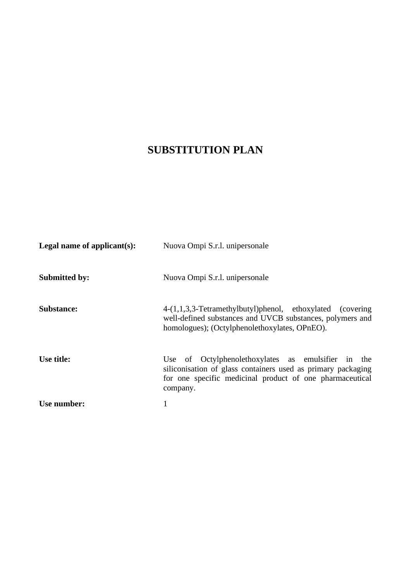# **SUBSTITUTION PLAN**

| Legal name of applicant(s): | Nuova Ompi S.r.l. unipersonale                                                                                                                                                             |
|-----------------------------|--------------------------------------------------------------------------------------------------------------------------------------------------------------------------------------------|
| <b>Submitted by:</b>        | Nuova Ompi S.r.l. unipersonale                                                                                                                                                             |
| <b>Substance:</b>           | 4-(1,1,3,3-Tetramethylbutyl)phenol, ethoxylated (covering<br>well-defined substances and UVCB substances, polymers and<br>homologues); (Octylphenolethoxylates, OPnEO).                    |
| Use title:                  | Use of Octylphenolethoxylates as emulsifier in the<br>siliconisation of glass containers used as primary packaging<br>for one specific medicinal product of one pharmaceutical<br>company. |
| Use number:                 | 1                                                                                                                                                                                          |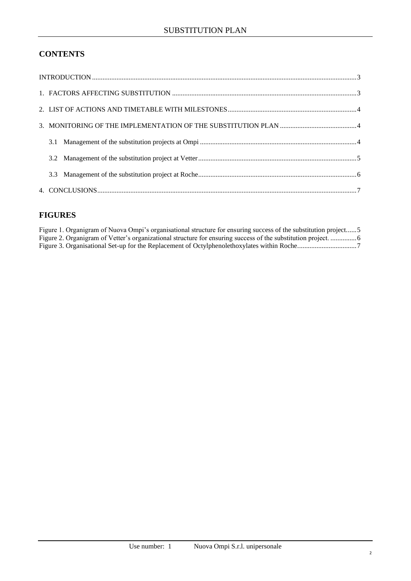# **CONTENTS**

# **FIGURES**

| Figure 1. Organigram of Nuova Ompi's organisational structure for ensuring success of the substitution project5 |  |
|-----------------------------------------------------------------------------------------------------------------|--|
|                                                                                                                 |  |
|                                                                                                                 |  |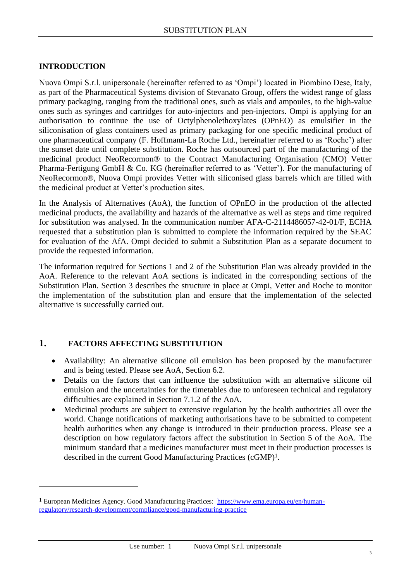### <span id="page-2-0"></span>**INTRODUCTION**

Nuova Ompi S.r.l. unipersonale (hereinafter referred to as 'Ompi') located in Piombino Dese, Italy, as part of the Pharmaceutical Systems division of Stevanato Group, offers the widest range of glass primary packaging, ranging from the traditional ones, such as vials and ampoules, to the high-value ones such as syringes and cartridges for auto-injectors and pen-injectors. Ompi is applying for an authorisation to continue the use of Octylphenolethoxylates (OPnEO) as emulsifier in the siliconisation of glass containers used as primary packaging for one specific medicinal product of one pharmaceutical company (F. Hoffmann-La Roche Ltd., hereinafter referred to as 'Roche') after the sunset date until complete substitution. Roche has outsourced part of the manufacturing of the medicinal product NeoRecormon® to the Contract Manufacturing Organisation (CMO) Vetter Pharma-Fertigung GmbH & Co. KG (hereinafter referred to as 'Vetter'). For the manufacturing of NeoRecormon®, Nuova Ompi provides Vetter with siliconised glass barrels which are filled with the medicinal product at Vetter's production sites.

In the Analysis of Alternatives (AoA), the function of OPnEO in the production of the affected medicinal products, the availability and hazards of the alternative as well as steps and time required for substitution was analysed. In the communication number AFA-C-2114486057-42-01/F, ECHA requested that a substitution plan is submitted to complete the information required by the SEAC for evaluation of the AfA. Ompi decided to submit a Substitution Plan as a separate document to provide the requested information.

The information required for Sections 1 and 2 of the Substitution Plan was already provided in the AoA. Reference to the relevant AoA sections is indicated in the corresponding sections of the Substitution Plan. Section 3 describes the structure in place at Ompi, Vetter and Roche to monitor the implementation of the substitution plan and ensure that the implementation of the selected alternative is successfully carried out.

### <span id="page-2-1"></span>**1. FACTORS AFFECTING SUBSTITUTION**

- Availability: An alternative silicone oil emulsion has been proposed by the manufacturer and is being tested. Please see AoA, Section 6.2.
- Details on the factors that can influence the substitution with an alternative silicone oil emulsion and the uncertainties for the timetables due to unforeseen technical and regulatory difficulties are explained in Section 7.1.2 of the AoA.
- Medicinal products are subject to extensive regulation by the health authorities all over the world. Change notifications of marketing authorisations have to be submitted to competent health authorities when any change is introduced in their production process. Please see a description on how regulatory factors affect the substitution in Section 5 of the AoA. The minimum standard that a medicines manufacturer must meet in their production processes is described in the current Good Manufacturing Practices (cGMP)1.

<sup>&</sup>lt;sup>1</sup> European Medicines Agency. Good Manufacturing Practices: [https://www.ema.europa.eu/en/human](https://www.ema.europa.eu/en/human-regulatory/research-development/compliance/good-manufacturing-practice)[regulatory/research-development/compliance/good-manufacturing-practice](https://www.ema.europa.eu/en/human-regulatory/research-development/compliance/good-manufacturing-practice)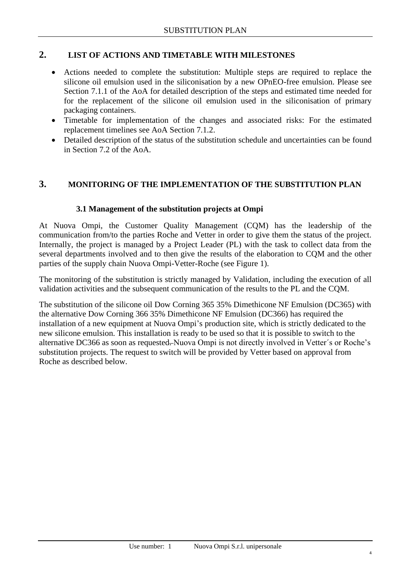# <span id="page-3-0"></span>**2. LIST OF ACTIONS AND TIMETABLE WITH MILESTONES**

- Actions needed to complete the substitution: Multiple steps are required to replace the silicone oil emulsion used in the siliconisation by a new OPnEO-free emulsion. Please see Section 7.1.1 of the AoA for detailed description of the steps and estimated time needed for for the replacement of the silicone oil emulsion used in the siliconisation of primary packaging containers.
- Timetable for implementation of the changes and associated risks: For the estimated replacement timelines see AoA Section 7.1.2.
- Detailed description of the status of the substitution schedule and uncertainties can be found in Section 7.2 of the AoA.

## <span id="page-3-2"></span><span id="page-3-1"></span>**3. MONITORING OF THE IMPLEMENTATION OF THE SUBSTITUTION PLAN**

#### **3.1 Management of the substitution projects at Ompi**

At Nuova Ompi, the Customer Quality Management (CQM) has the leadership of the communication from/to the parties Roche and Vetter in order to give them the status of the project. Internally, the project is managed by a Project Leader (PL) with the task to collect data from the several departments involved and to then give the results of the elaboration to CQM and the other parties of the supply chain Nuova Ompi-Vetter-Roche (see [Figure 1\)](#page-4-1).

The monitoring of the substitution is strictly managed by Validation, including the execution of all validation activities and the subsequent communication of the results to the PL and the CQM.

The substitution of the silicone oil Dow Corning 365 35% Dimethicone NF Emulsion (DC365) with the alternative Dow Corning 366 35% Dimethicone NF Emulsion (DC366) has required the installation of a new equipment at Nuova Ompi's production site, which is strictly dedicated to the new silicone emulsion. This installation is ready to be used so that it is possible to switch to the alternative DC366 as soon as requested. Nuova Ompi is not directly involved in Vetter's or Roche's substitution projects. The request to switch will be provided by Vetter based on approval from Roche as described below.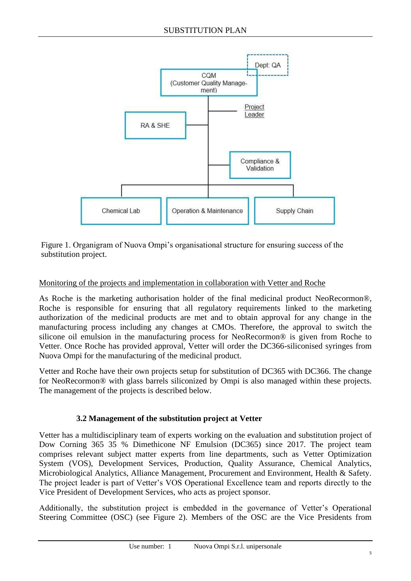

<span id="page-4-1"></span>Figure 1. Organigram of Nuova Ompi's organisational structure for ensuring success of the substitution project.

## Monitoring of the projects and implementation in collaboration with Vetter and Roche

As Roche is the marketing authorisation holder of the final medicinal product NeoRecormon®, Roche is responsible for ensuring that all regulatory requirements linked to the marketing authorization of the medicinal products are met and to obtain approval for any change in the manufacturing process including any changes at CMOs. Therefore, the approval to switch the silicone oil emulsion in the manufacturing process for NeoRecormon® is given from Roche to Vetter. Once Roche has provided approval, Vetter will order the DC366-siliconised syringes from Nuova Ompi for the manufacturing of the medicinal product.

Vetter and Roche have their own projects setup for substitution of DC365 with DC366. The change for NeoRecormon® with glass barrels siliconized by Ompi is also managed within these projects. The management of the projects is described below.

#### **3.2 Management of the substitution project at Vetter**

<span id="page-4-0"></span>Vetter has a multidisciplinary team of experts working on the evaluation and substitution project of Dow Corning 365 35 % Dimethicone NF Emulsion (DC365) since 2017. The project team comprises relevant subject matter experts from line departments, such as Vetter Optimization System (VOS), Development Services, Production, Quality Assurance, Chemical Analytics, Microbiological Analytics, Alliance Management, Procurement and Environment, Health & Safety. The project leader is part of Vetter's VOS Operational Excellence team and reports directly to the Vice President of Development Services, who acts as project sponsor.

Additionally, the substitution project is embedded in the governance of Vetter's Operational Steering Committee (OSC) (see [Figure 2\)](#page-5-1). Members of the OSC are the Vice Presidents from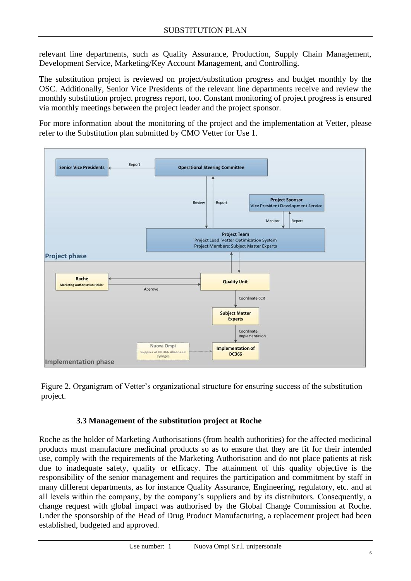relevant line departments, such as Quality Assurance, Production, Supply Chain Management, Development Service, Marketing/Key Account Management, and Controlling.

The substitution project is reviewed on project/substitution progress and budget monthly by the OSC. Additionally, Senior Vice Presidents of the relevant line departments receive and review the monthly substitution project progress report, too. Constant monitoring of project progress is ensured via monthly meetings between the project leader and the project sponsor.

For more information about the monitoring of the project and the implementation at Vetter, please refer to the Substitution plan submitted by CMO Vetter for Use 1.



<span id="page-5-1"></span><span id="page-5-0"></span>Figure 2. Organigram of Vetter's organizational structure for ensuring success of the substitution project.

#### **3.3 Management of the substitution project at Roche**

Roche as the holder of Marketing Authorisations (from health authorities) for the affected medicinal products must manufacture medicinal products so as to ensure that they are fit for their intended use, comply with the requirements of the Marketing Authorisation and do not place patients at risk due to inadequate safety, quality or efficacy. The attainment of this quality objective is the responsibility of the senior management and requires the participation and commitment by staff in many different departments, as for instance Quality Assurance, Engineering, regulatory, etc. and at all levels within the company, by the company's suppliers and by its distributors. Consequently, a change request with global impact was authorised by the Global Change Commission at Roche. Under the sponsorship of the Head of Drug Product Manufacturing, a replacement project had been established, budgeted and approved.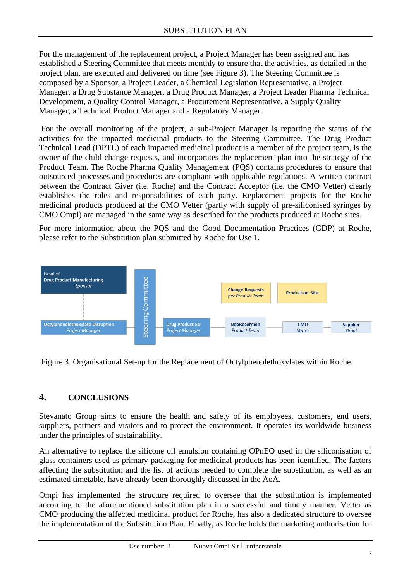For the management of the replacement project, a Project Manager has been assigned and has established a Steering Committee that meets monthly to ensure that the activities, as detailed in the project plan, are executed and delivered on time (see [Figure 3\)](#page-6-1). The Steering Committee is composed by a Sponsor, a Project Leader, a Chemical Legislation Representative, a Project Manager, a Drug Substance Manager, a Drug Product Manager, a Project Leader Pharma Technical Development, a Quality Control Manager, a Procurement Representative, a Supply Quality Manager, a Technical Product Manager and a Regulatory Manager.

For the overall monitoring of the project, a sub-Project Manager is reporting the status of the activities for the impacted medicinal products to the Steering Committee. The Drug Product Technical Lead (DPTL) of each impacted medicinal product is a member of the project team, is the owner of the child change requests, and incorporates the replacement plan into the strategy of the Product Team. The Roche Pharma Quality Management (PQS) contains procedures to ensure that outsourced processes and procedures are compliant with applicable regulations. A written contract between the Contract Giver (i.e. Roche) and the Contract Acceptor (i.e. the CMO Vetter) clearly establishes the roles and responsibilities of each party. Replacement projects for the Roche medicinal products produced at the CMO Vetter (partly with supply of pre-siliconised syringes by CMO Ompi) are managed in the same way as described for the products produced at Roche sites.

For more information about the PQS and the Good Documentation Practices (GDP) at Roche, please refer to the Substitution plan submitted by Roche for Use 1.



<span id="page-6-1"></span>Figure 3. Organisational Set-up for the Replacement of Octylphenolethoxylates within Roche.

# <span id="page-6-0"></span>**4. CONCLUSIONS**

Stevanato Group aims to ensure the health and safety of its employees, customers, end users, suppliers, partners and visitors and to protect the environment. It operates its worldwide business under the principles of sustainability.

An alternative to replace the silicone oil emulsion containing OPnEO used in the siliconisation of glass containers used as primary packaging for medicinal products has been identified. The factors affecting the substitution and the list of actions needed to complete the substitution, as well as an estimated timetable, have already been thoroughly discussed in the AoA.

Ompi has implemented the structure required to oversee that the substitution is implemented according to the aforementioned substitution plan in a successful and timely manner. Vetter as CMO producing the affected medicinal product for Roche, has also a dedicated structure to oversee the implementation of the Substitution Plan. Finally, as Roche holds the marketing authorisation for